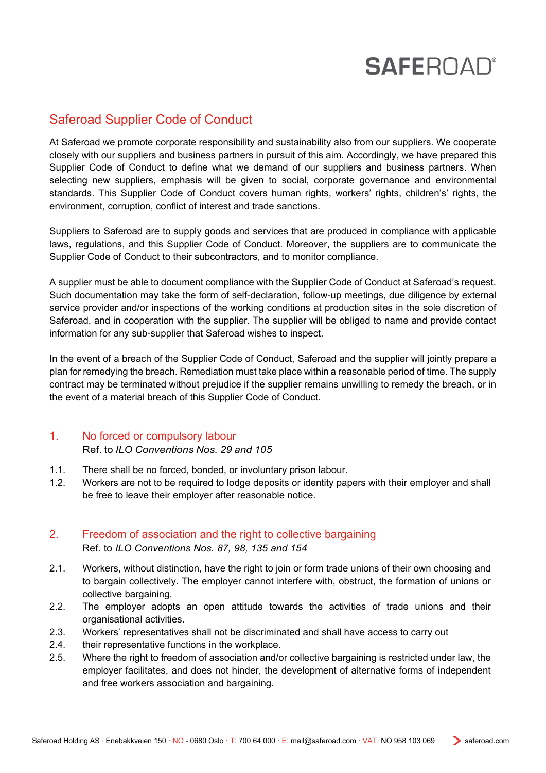### Saferoad Supplier Code of Conduct

At Saferoad we promote corporate responsibility and sustainability also from our suppliers. We cooperate closely with our suppliers and business partners in pursuit of this aim. Accordingly, we have prepared this Supplier Code of Conduct to define what we demand of our suppliers and business partners. When selecting new suppliers, emphasis will be given to social, corporate governance and environmental standards. This Supplier Code of Conduct covers human rights, workers' rights, children's' rights, the environment, corruption, conflict of interest and trade sanctions.

Suppliers to Saferoad are to supply goods and services that are produced in compliance with applicable laws, regulations, and this Supplier Code of Conduct. Moreover, the suppliers are to communicate the Supplier Code of Conduct to their subcontractors, and to monitor compliance.

A supplier must be able to document compliance with the Supplier Code of Conduct at Saferoad's request. Such documentation may take the form of self-declaration, follow-up meetings, due diligence by external service provider and/or inspections of the working conditions at production sites in the sole discretion of Saferoad, and in cooperation with the supplier. The supplier will be obliged to name and provide contact information for any sub-supplier that Saferoad wishes to inspect.

In the event of a breach of the Supplier Code of Conduct, Saferoad and the supplier will jointly prepare a plan for remedying the breach. Remediation must take place within a reasonable period of time. The supply contract may be terminated without prejudice if the supplier remains unwilling to remedy the breach, or in the event of a material breach of this Supplier Code of Conduct.

### 1. No forced or compulsory labour

Ref. to *ILO Conventions Nos. 29 and 105*

- 1.1. There shall be no forced, bonded, or involuntary prison labour.
- 1.2. Workers are not to be required to lodge deposits or identity papers with their employer and shall be free to leave their employer after reasonable notice.

### 2. Freedom of association and the right to collective bargaining Ref. to *ILO Conventions Nos. 87, 98, 135 and 154*

- 2.1. Workers, without distinction, have the right to join or form trade unions of their own choosing and to bargain collectively. The employer cannot interfere with, obstruct, the formation of unions or collective bargaining.
- 2.2. The employer adopts an open attitude towards the activities of trade unions and their organisational activities.
- 2.3. Workers' representatives shall not be discriminated and shall have access to carry out
- 2.4. their representative functions in the workplace.
- 2.5. Where the right to freedom of association and/or collective bargaining is restricted under law, the employer facilitates, and does not hinder, the development of alternative forms of independent and free workers association and bargaining.

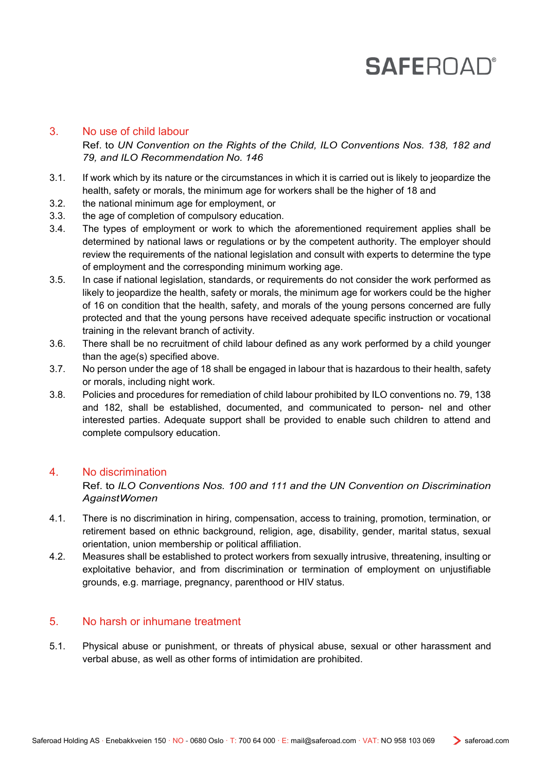### 3. No use of child labour

Ref. to *UN Convention on the Rights of the Child, ILO Conventions Nos. 138, 182 and 79, and ILO Recommendation No. 146*

- 3.1. If work which by its nature or the circumstances in which it is carried out is likely to jeopardize the health, safety or morals, the minimum age for workers shall be the higher of 18 and
- 3.2. the national minimum age for employment, or
- 3.3. the age of completion of compulsory education.
- 3.4. The types of employment or work to which the aforementioned requirement applies shall be determined by national laws or regulations or by the competent authority. The employer should review the requirements of the national legislation and consult with experts to determine the type of employment and the corresponding minimum working age.
- 3.5. In case if national legislation, standards, or requirements do not consider the work performed as likely to jeopardize the health, safety or morals, the minimum age for workers could be the higher of 16 on condition that the health, safety, and morals of the young persons concerned are fully protected and that the young persons have received adequate specific instruction or vocational training in the relevant branch of activity.
- 3.6. There shall be no recruitment of child labour defined as any work performed by a child younger than the age(s) specified above.
- 3.7. No person under the age of 18 shall be engaged in labour that is hazardous to their health, safety or morals, including night work.
- 3.8. Policies and procedures for remediation of child labour prohibited by ILO conventions no. 79, 138 and 182, shall be established, documented, and communicated to person- nel and other interested parties. Adequate support shall be provided to enable such children to attend and complete compulsory education.

### 4. No discrimination

Ref. to *ILO Conventions Nos. 100 and 111 and the UN Convention on Discrimination AgainstWomen*

- 4.1. There is no discrimination in hiring, compensation, access to training, promotion, termination, or retirement based on ethnic background, religion, age, disability, gender, marital status, sexual orientation, union membership or political affiliation.
- 4.2. Measures shall be established to protect workers from sexually intrusive, threatening, insulting or exploitative behavior, and from discrimination or termination of employment on unjustifiable grounds, e.g. marriage, pregnancy, parenthood or HIV status.

#### 5. No harsh or inhumane treatment

5.1. Physical abuse or punishment, or threats of physical abuse, sexual or other harassment and verbal abuse, as well as other forms of intimidation are prohibited.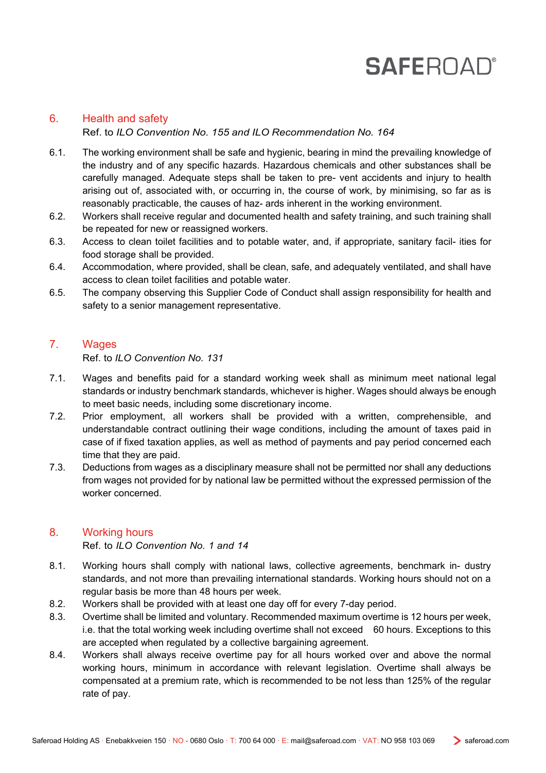### 6. Health and safety Ref. to *ILO Convention No. 155 and ILO Recommendation No. 164*

- 6.1. The working environment shall be safe and hygienic, bearing in mind the prevailing knowledge of the industry and of any specific hazards. Hazardous chemicals and other substances shall be carefully managed. Adequate steps shall be taken to pre- vent accidents and injury to health arising out of, associated with, or occurring in, the course of work, by minimising, so far as is reasonably practicable, the causes of haz- ards inherent in the working environment.
- 6.2. Workers shall receive regular and documented health and safety training, and such training shall be repeated for new or reassigned workers.
- 6.3. Access to clean toilet facilities and to potable water, and, if appropriate, sanitary facil- ities for food storage shall be provided.
- 6.4. Accommodation, where provided, shall be clean, safe, and adequately ventilated, and shall have access to clean toilet facilities and potable water.
- 6.5. The company observing this Supplier Code of Conduct shall assign responsibility for health and safety to a senior management representative.

### 7. Wages

Ref. to *ILO Convention No. 131*

- 7.1. Wages and benefits paid for a standard working week shall as minimum meet national legal standards or industry benchmark standards, whichever is higher. Wages should always be enough to meet basic needs, including some discretionary income.
- 7.2. Prior employment, all workers shall be provided with a written, comprehensible, and understandable contract outlining their wage conditions, including the amount of taxes paid in case of if fixed taxation applies, as well as method of payments and pay period concerned each time that they are paid.
- 7.3. Deductions from wages as a disciplinary measure shall not be permitted nor shall any deductions from wages not provided for by national law be permitted without the expressed permission of the worker concerned.

### 8. Working hours

Ref. to *ILO Convention No. 1 and 14*

- 8.1. Working hours shall comply with national laws, collective agreements, benchmark in- dustry standards, and not more than prevailing international standards. Working hours should not on a regular basis be more than 48 hours per week.
- 8.2. Workers shall be provided with at least one day off for every 7-day period.
- 8.3. Overtime shall be limited and voluntary. Recommended maximum overtime is 12 hours per week, i.e. that the total working week including overtime shall not exceed 60 hours. Exceptions to this are accepted when regulated by a collective bargaining agreement.
- 8.4. Workers shall always receive overtime pay for all hours worked over and above the normal working hours, minimum in accordance with relevant legislation. Overtime shall always be compensated at a premium rate, which is recommended to be not less than 125% of the regular rate of pay.

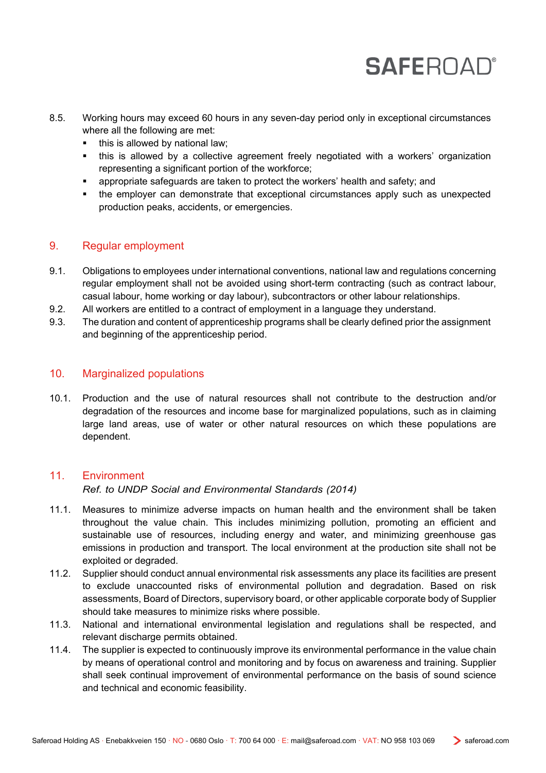- 8.5. Working hours may exceed 60 hours in any seven-day period only in exceptional circumstances where all the following are met:
	- this is allowed by national law;
	- this is allowed by a collective agreement freely negotiated with a workers' organization representing a significant portion of the workforce;
	- appropriate safeguards are taken to protect the workers' health and safety; and
	- the employer can demonstrate that exceptional circumstances apply such as unexpected production peaks, accidents, or emergencies.

### 9. Regular employment

- 9.1. Obligations to employees under international conventions, national law and regulations concerning regular employment shall not be avoided using short-term contracting (such as contract labour, casual labour, home working or day labour), subcontractors or other labour relationships.
- 9.2. All workers are entitled to a contract of employment in a language they understand.
- 9.3. The duration and content of apprenticeship programs shall be clearly defined prior the assignment and beginning of the apprenticeship period.

### 10. Marginalized populations

10.1. Production and the use of natural resources shall not contribute to the destruction and/or degradation of the resources and income base for marginalized populations, such as in claiming large land areas, use of water or other natural resources on which these populations are dependent.

### 11. Environment

*Ref. to UNDP Social and Environmental Standards (2014)*

- 11.1. Measures to minimize adverse impacts on human health and the environment shall be taken throughout the value chain. This includes minimizing pollution, promoting an efficient and sustainable use of resources, including energy and water, and minimizing greenhouse gas emissions in production and transport. The local environment at the production site shall not be exploited or degraded.
- 11.2. Supplier should conduct annual environmental risk assessments any place its facilities are present to exclude unaccounted risks of environmental pollution and degradation. Based on risk assessments, Board of Directors, supervisory board, or other applicable corporate body of Supplier should take measures to minimize risks where possible.
- 11.3. National and international environmental legislation and regulations shall be respected, and relevant discharge permits obtained.
- 11.4. The supplier is expected to continuously improve its environmental performance in the value chain by means of operational control and monitoring and by focus on awareness and training. Supplier shall seek continual improvement of environmental performance on the basis of sound science and technical and economic feasibility.